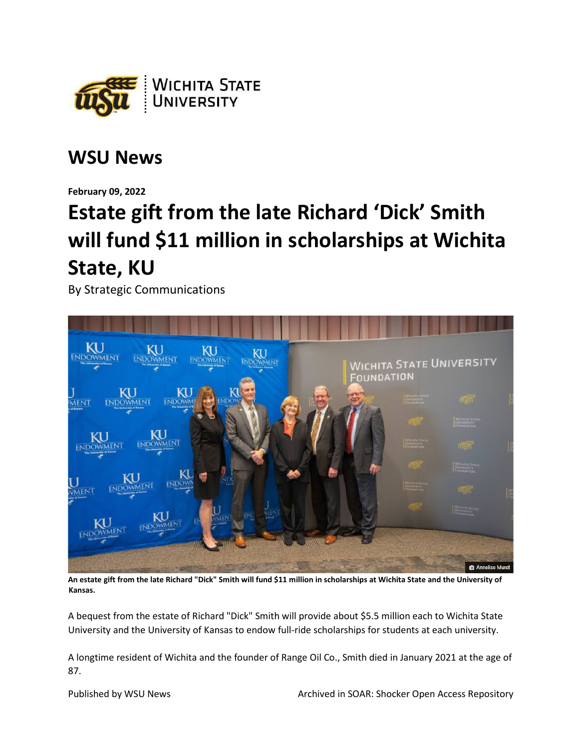

## **WSU News**

**February 09, 2022**

## **Estate gift from the late Richard 'Dick' Smith will fund \$11 million in scholarships at Wichita State, KU**

By Strategic Communications



**An estate gift from the late Richard "Dick" Smith will fund \$11 million in scholarships at Wichita State and the University of Kansas.** 

A bequest from the estate of Richard "Dick" Smith will provide about \$5.5 million each to Wichita State University and the University of Kansas to endow full-ride scholarships for students at each university.

A longtime resident of Wichita and the founder of Range Oil Co., Smith died in January 2021 at the age of 87.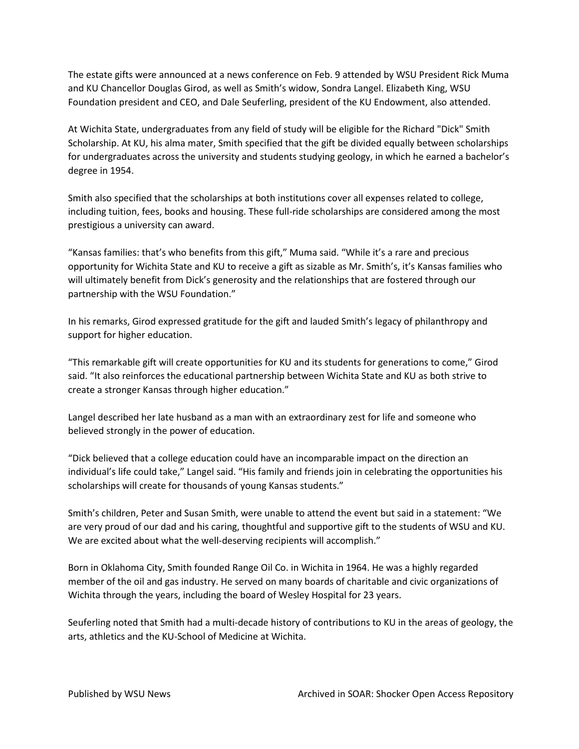The estate gifts were announced at a news conference on Feb. 9 attended by WSU President Rick Muma and KU Chancellor Douglas Girod, as well as Smith's widow, Sondra Langel. Elizabeth King, WSU Foundation president and CEO, and Dale Seuferling, president of the KU Endowment, also attended.

At Wichita State, undergraduates from any field of study will be eligible for the Richard "Dick" Smith Scholarship. At KU, his alma mater, Smith specified that the gift be divided equally between scholarships for undergraduates across the university and students studying geology, in which he earned a bachelor's degree in 1954.

Smith also specified that the scholarships at both institutions cover all expenses related to college, including tuition, fees, books and housing. These full-ride scholarships are considered among the most prestigious a university can award.

"Kansas families: that's who benefits from this gift," Muma said. "While it's a rare and precious opportunity for Wichita State and KU to receive a gift as sizable as Mr. Smith's, it's Kansas families who will ultimately benefit from Dick's generosity and the relationships that are fostered through our partnership with the WSU Foundation."

In his remarks, Girod expressed gratitude for the gift and lauded Smith's legacy of philanthropy and support for higher education.

"This remarkable gift will create opportunities for KU and its students for generations to come," Girod said. "It also reinforces the educational partnership between Wichita State and KU as both strive to create a stronger Kansas through higher education."

Langel described her late husband as a man with an extraordinary zest for life and someone who believed strongly in the power of education.

"Dick believed that a college education could have an incomparable impact on the direction an individual's life could take," Langel said. "His family and friends join in celebrating the opportunities his scholarships will create for thousands of young Kansas students."

Smith's children, Peter and Susan Smith, were unable to attend the event but said in a statement: "We are very proud of our dad and his caring, thoughtful and supportive gift to the students of WSU and KU. We are excited about what the well-deserving recipients will accomplish."

Born in Oklahoma City, Smith founded Range Oil Co. in Wichita in 1964. He was a highly regarded member of the oil and gas industry. He served on many boards of charitable and civic organizations of Wichita through the years, including the board of Wesley Hospital for 23 years.

Seuferling noted that Smith had a multi-decade history of contributions to KU in the areas of geology, the arts, athletics and the KU-School of Medicine at Wichita.